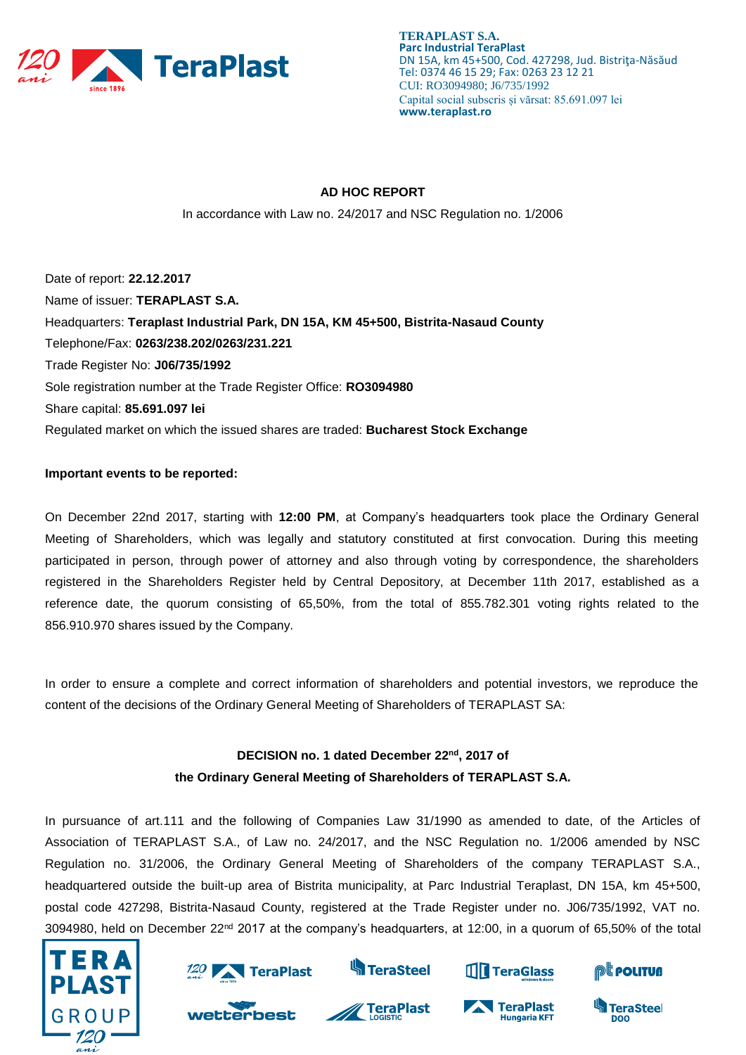

**TERAPLAST S.A. Parc Industrial TeraPlast** DN 15A, km 45+500, Cod. 427298, Jud. Bistriţa-Năsăud Tel: 0374 46 15 29; Fax: 0263 23 12 21 CUI: RO3094980; J6/735/1992 Capital social subscris și vărsat: 85.691.097 lei **www.teraplast.ro**

# **AD HOC REPORT**

In accordance with Law no. 24/2017 and NSC Regulation no. 1/2006

Date of report: **22.12.2017** Name of issuer: **TERAPLAST S.A.**  Headquarters: **Teraplast Industrial Park, DN 15A, KM 45+500, Bistrita-Nasaud County**  Telephone/Fax: **0263/238.202/0263/231.221**  Trade Register No: **J06/735/1992**  Sole registration number at the Trade Register Office: **RO3094980**  Share capital: **85.691.097 lei** Regulated market on which the issued shares are traded: **Bucharest Stock Exchange** 

# **Important events to be reported:**

On December 22nd 2017, starting with **12:00 PM**, at Company's headquarters took place the Ordinary General Meeting of Shareholders, which was legally and statutory constituted at first convocation. During this meeting participated in person, through power of attorney and also through voting by correspondence, the shareholders registered in the Shareholders Register held by Central Depository, at December 11th 2017, established as a reference date, the quorum consisting of 65,50%, from the total of 855.782.301 voting rights related to the 856.910.970 shares issued by the Company.

In order to ensure a complete and correct information of shareholders and potential investors, we reproduce the content of the decisions of the Ordinary General Meeting of Shareholders of TERAPLAST SA:

# **DECISION no. 1 dated December 22 nd, 2017 of the Ordinary General Meeting of Shareholders of TERAPLAST S.A.**

In pursuance of art.111 and the following of Companies Law 31/1990 as amended to date, of the Articles of Association of TERAPLAST S.A., of Law no. 24/2017, and the NSC Regulation no. 1/2006 amended by NSC Regulation no. 31/2006, the Ordinary General Meeting of Shareholders of the company TERAPLAST S.A., headquartered outside the built-up area of Bistrita municipality, at Parc Industrial Teraplast, DN 15A, km 45+500, postal code 427298, Bistrita-Nasaud County, registered at the Trade Register under no. J06/735/1992, VAT no. 3094980, held on December 22<sup>nd</sup> 2017 at the company's headquarters, at 12:00, in a quorum of 65,50% of the total





wetterbest



**Sa TeraSteel** 

**TeraPlast** 



**Hungaria KFT** 

TeraPlast



**TeraSteel** 

**DOO**